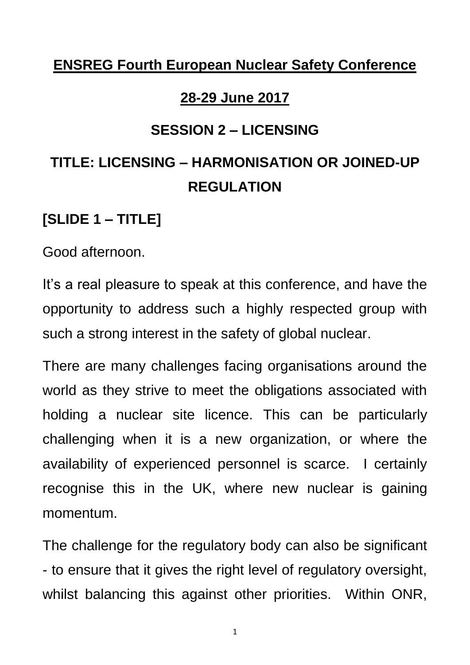## **ENSREG Fourth European Nuclear Safety Conference**

#### **28-29 June 2017**

#### **SESSION 2 – LICENSING**

# **TITLE: LICENSING – HARMONISATION OR JOINED-UP REGULATION**

## **[SLIDE 1 – TITLE]**

Good afternoon.

It's a real pleasure to speak at this conference, and have the opportunity to address such a highly respected group with such a strong interest in the safety of global nuclear.

There are many challenges facing organisations around the world as they strive to meet the obligations associated with holding a nuclear site licence. This can be particularly challenging when it is a new organization, or where the availability of experienced personnel is scarce. I certainly recognise this in the UK, where new nuclear is gaining momentum.

The challenge for the regulatory body can also be significant - to ensure that it gives the right level of regulatory oversight, whilst balancing this against other priorities. Within ONR,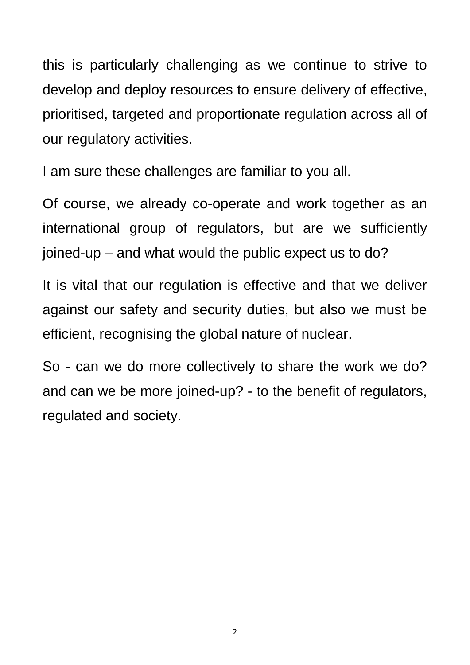this is particularly challenging as we continue to strive to develop and deploy resources to ensure delivery of effective, prioritised, targeted and proportionate regulation across all of our regulatory activities.

I am sure these challenges are familiar to you all.

Of course, we already co-operate and work together as an international group of regulators, but are we sufficiently joined-up – and what would the public expect us to do?

It is vital that our regulation is effective and that we deliver against our safety and security duties, but also we must be efficient, recognising the global nature of nuclear.

So - can we do more collectively to share the work we do? and can we be more joined-up? - to the benefit of regulators, regulated and society.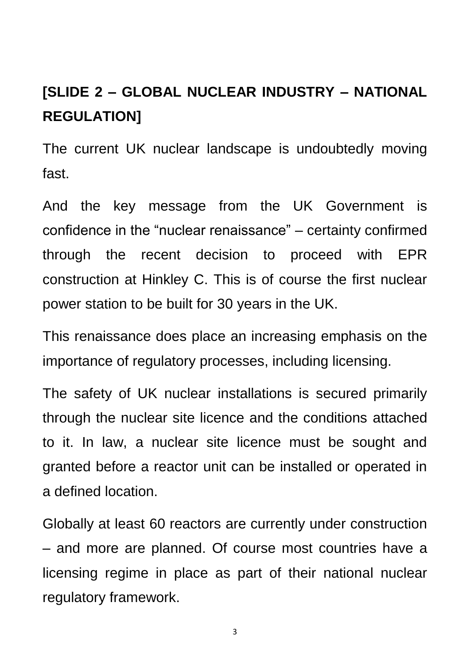# **[SLIDE 2 – GLOBAL NUCLEAR INDUSTRY – NATIONAL REGULATION]**

The current UK nuclear landscape is undoubtedly moving fast.

And the key message from the UK Government is confidence in the "nuclear renaissance" – certainty confirmed through the recent decision to proceed with EPR construction at Hinkley C. This is of course the first nuclear power station to be built for 30 years in the UK.

This renaissance does place an increasing emphasis on the importance of regulatory processes, including licensing.

The safety of UK nuclear installations is secured primarily through the nuclear site licence and the conditions attached to it. In law, a nuclear site licence must be sought and granted before a reactor unit can be installed or operated in a defined location.

Globally at least 60 reactors are currently under construction – and more are planned. Of course most countries have a licensing regime in place as part of their national nuclear regulatory framework.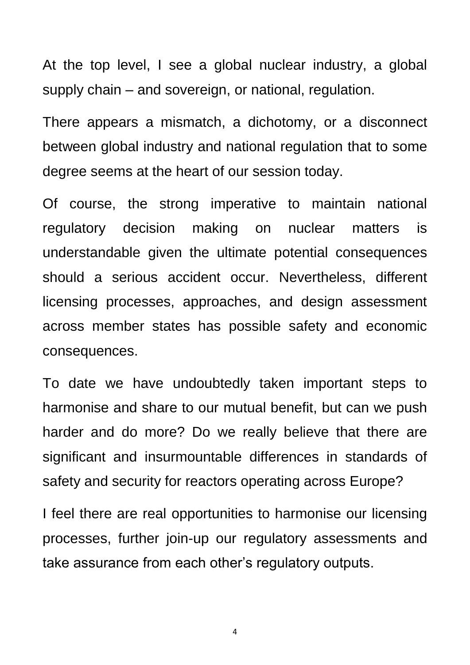At the top level, I see a global nuclear industry, a global supply chain – and sovereign, or national, regulation.

There appears a mismatch, a dichotomy, or a disconnect between global industry and national regulation that to some degree seems at the heart of our session today.

Of course, the strong imperative to maintain national regulatory decision making on nuclear matters is understandable given the ultimate potential consequences should a serious accident occur. Nevertheless, different licensing processes, approaches, and design assessment across member states has possible safety and economic consequences.

To date we have undoubtedly taken important steps to harmonise and share to our mutual benefit, but can we push harder and do more? Do we really believe that there are significant and insurmountable differences in standards of safety and security for reactors operating across Europe?

I feel there are real opportunities to harmonise our licensing processes, further join-up our regulatory assessments and take assurance from each other's regulatory outputs.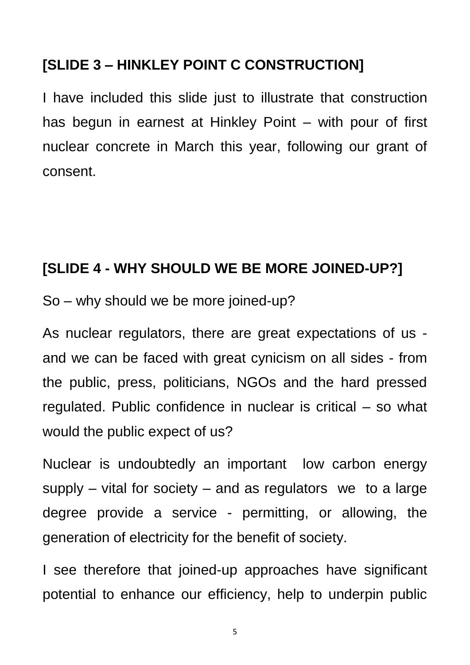## **[SLIDE 3 – HINKLEY POINT C CONSTRUCTION]**

I have included this slide just to illustrate that construction has begun in earnest at Hinkley Point – with pour of first nuclear concrete in March this year, following our grant of consent.

## **[SLIDE 4 - WHY SHOULD WE BE MORE JOINED-UP?]**

So – why should we be more joined-up?

As nuclear regulators, there are great expectations of us and we can be faced with great cynicism on all sides - from the public, press, politicians, NGOs and the hard pressed regulated. Public confidence in nuclear is critical – so what would the public expect of us?

Nuclear is undoubtedly an important low carbon energy supply  $-$  vital for society  $-$  and as regulators we to a large degree provide a service - permitting, or allowing, the generation of electricity for the benefit of society.

I see therefore that joined-up approaches have significant potential to enhance our efficiency, help to underpin public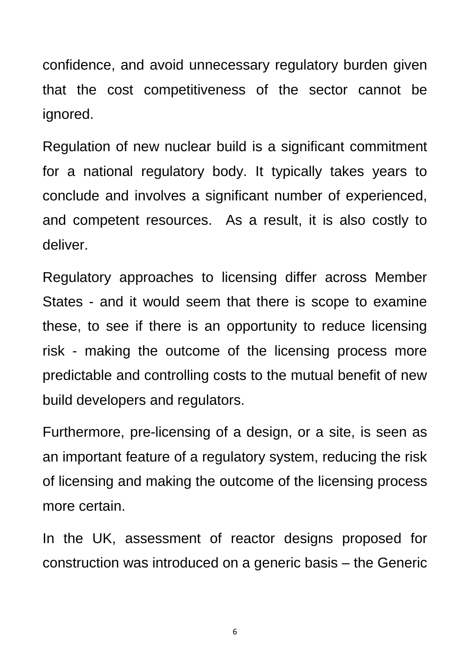confidence, and avoid unnecessary regulatory burden given that the cost competitiveness of the sector cannot be ignored.

Regulation of new nuclear build is a significant commitment for a national regulatory body. It typically takes years to conclude and involves a significant number of experienced, and competent resources. As a result, it is also costly to deliver.

Regulatory approaches to licensing differ across Member States - and it would seem that there is scope to examine these, to see if there is an opportunity to reduce licensing risk - making the outcome of the licensing process more predictable and controlling costs to the mutual benefit of new build developers and regulators.

Furthermore, pre-licensing of a design, or a site, is seen as an important feature of a regulatory system, reducing the risk of licensing and making the outcome of the licensing process more certain.

In the UK, assessment of reactor designs proposed for construction was introduced on a generic basis – the Generic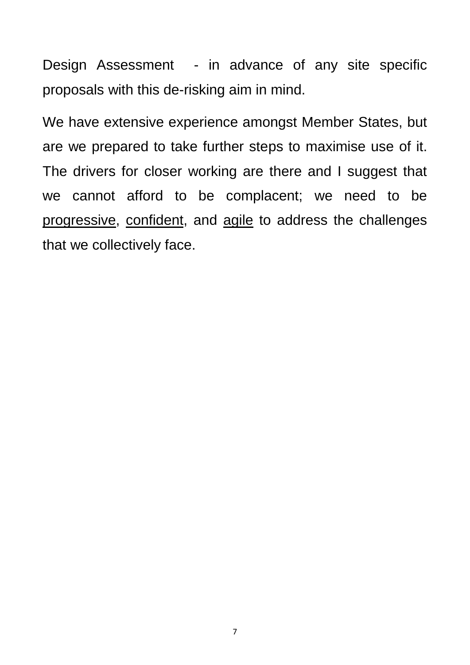Design Assessment - in advance of any site specific proposals with this de-risking aim in mind.

We have extensive experience amongst Member States, but are we prepared to take further steps to maximise use of it. The drivers for closer working are there and I suggest that we cannot afford to be complacent; we need to be progressive, confident, and agile to address the challenges that we collectively face.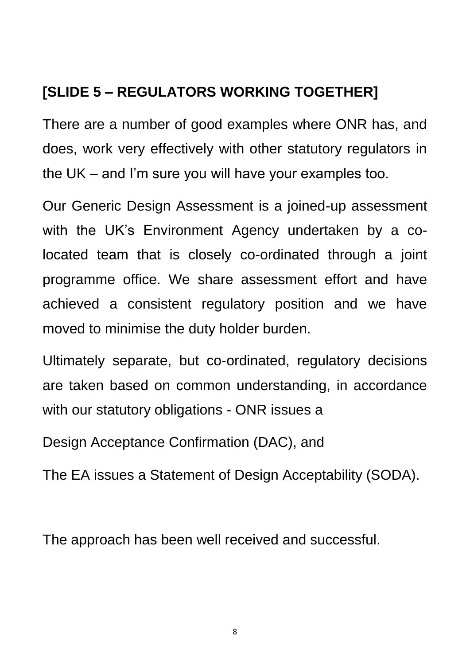## **[SLIDE 5 – REGULATORS WORKING TOGETHER]**

There are a number of good examples where ONR has, and does, work very effectively with other statutory regulators in the UK – and I'm sure you will have your examples too.

Our Generic Design Assessment is a joined-up assessment with the UK's Environment Agency undertaken by a colocated team that is closely co-ordinated through a joint programme office. We share assessment effort and have achieved a consistent regulatory position and we have moved to minimise the duty holder burden.

Ultimately separate, but co-ordinated, regulatory decisions are taken based on common understanding, in accordance with our statutory obligations - ONR issues a

Design Acceptance Confirmation (DAC), and

The EA issues a Statement of Design Acceptability (SODA).

The approach has been well received and successful.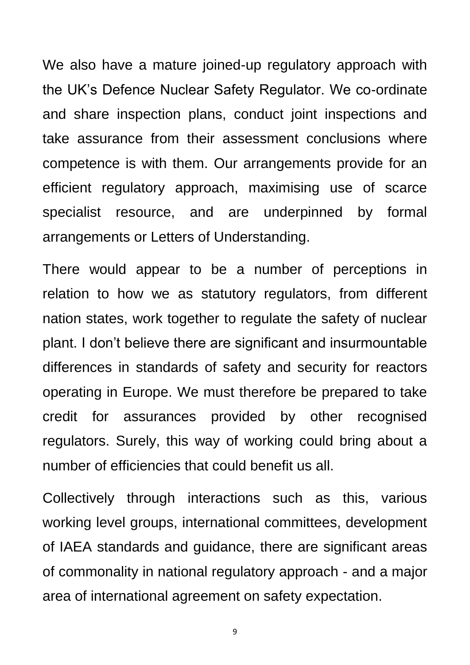We also have a mature joined-up regulatory approach with the UK's Defence Nuclear Safety Regulator. We co-ordinate and share inspection plans, conduct joint inspections and take assurance from their assessment conclusions where competence is with them. Our arrangements provide for an efficient regulatory approach, maximising use of scarce specialist resource, and are underpinned by formal arrangements or Letters of Understanding.

There would appear to be a number of perceptions in relation to how we as statutory regulators, from different nation states, work together to regulate the safety of nuclear plant. I don't believe there are significant and insurmountable differences in standards of safety and security for reactors operating in Europe. We must therefore be prepared to take credit for assurances provided by other recognised regulators. Surely, this way of working could bring about a number of efficiencies that could benefit us all.

Collectively through interactions such as this, various working level groups, international committees, development of IAEA standards and guidance, there are significant areas of commonality in national regulatory approach - and a major area of international agreement on safety expectation.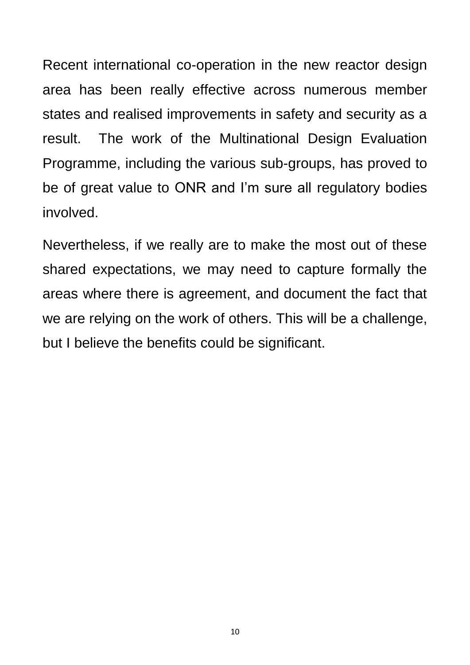Recent international co-operation in the new reactor design area has been really effective across numerous member states and realised improvements in safety and security as a result. The work of the Multinational Design Evaluation Programme, including the various sub-groups, has proved to be of great value to ONR and I'm sure all regulatory bodies involved.

Nevertheless, if we really are to make the most out of these shared expectations, we may need to capture formally the areas where there is agreement, and document the fact that we are relying on the work of others. This will be a challenge, but I believe the benefits could be significant.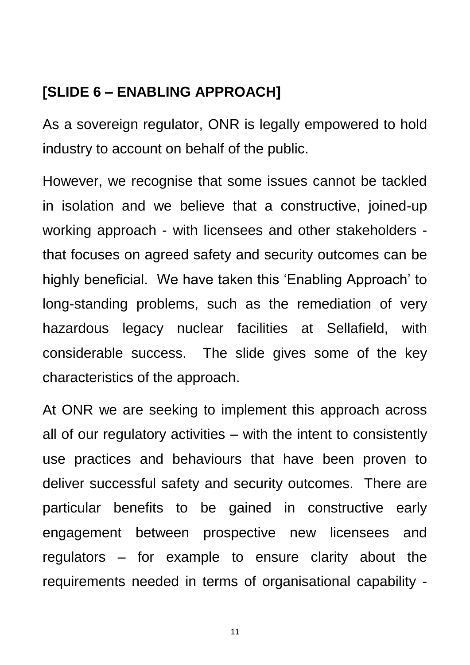## **[SLIDE 6 – ENABLING APPROACH]**

As a sovereign regulator, ONR is legally empowered to hold industry to account on behalf of the public.

However, we recognise that some issues cannot be tackled in isolation and we believe that a constructive, joined-up working approach - with licensees and other stakeholders that focuses on agreed safety and security outcomes can be highly beneficial. We have taken this 'Enabling Approach' to long-standing problems, such as the remediation of very hazardous legacy nuclear facilities at Sellafield, with considerable success. The slide gives some of the key characteristics of the approach.

At ONR we are seeking to implement this approach across all of our regulatory activities – with the intent to consistently use practices and behaviours that have been proven to deliver successful safety and security outcomes. There are particular benefits to be gained in constructive early engagement between prospective new licensees and regulators – for example to ensure clarity about the requirements needed in terms of organisational capability -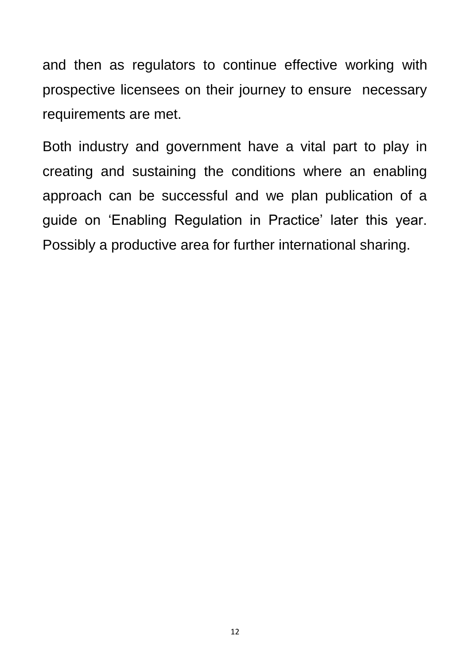and then as regulators to continue effective working with prospective licensees on their journey to ensure necessary requirements are met.

Both industry and government have a vital part to play in creating and sustaining the conditions where an enabling approach can be successful and we plan publication of a guide on 'Enabling Regulation in Practice' later this year. Possibly a productive area for further international sharing.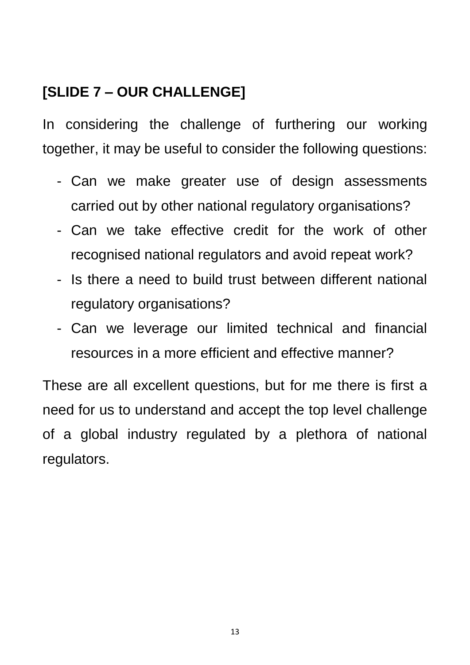## **[SLIDE 7 – OUR CHALLENGE]**

In considering the challenge of furthering our working together, it may be useful to consider the following questions:

- Can we make greater use of design assessments carried out by other national regulatory organisations?
- Can we take effective credit for the work of other recognised national regulators and avoid repeat work?
- Is there a need to build trust between different national regulatory organisations?
- Can we leverage our limited technical and financial resources in a more efficient and effective manner?

These are all excellent questions, but for me there is first a need for us to understand and accept the top level challenge of a global industry regulated by a plethora of national regulators.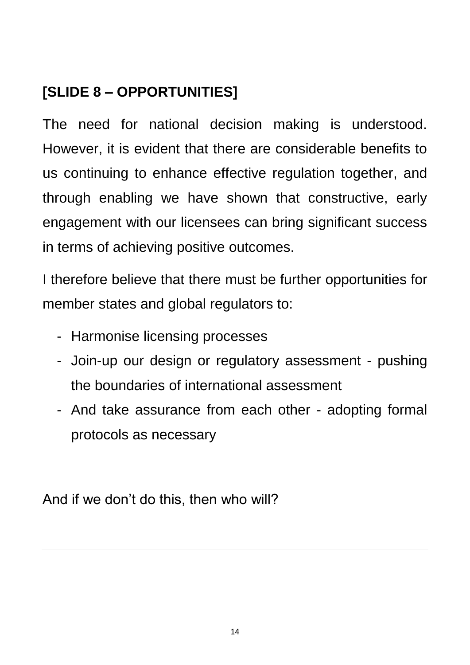## **[SLIDE 8 – OPPORTUNITIES]**

The need for national decision making is understood. However, it is evident that there are considerable benefits to us continuing to enhance effective regulation together, and through enabling we have shown that constructive, early engagement with our licensees can bring significant success in terms of achieving positive outcomes.

I therefore believe that there must be further opportunities for member states and global regulators to:

- Harmonise licensing processes
- Join-up our design or regulatory assessment pushing the boundaries of international assessment
- And take assurance from each other adopting formal protocols as necessary

And if we don't do this, then who will?